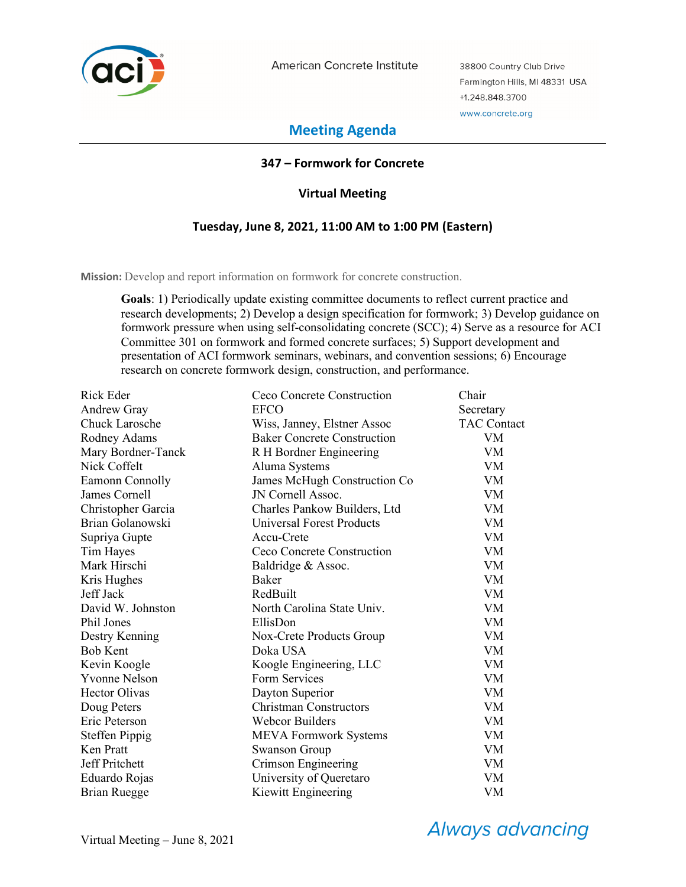

American Concrete Institute

38800 Country Club Drive Farmington Hills, MI 48331 USA +1.248.848.3700 www.concrete.org

# **Meeting Agenda**

## **347 – Formwork for Concrete**

## **Virtual Meeting**

## **Tuesday, June 8, 2021, 11:00 AM to 1:00 PM (Eastern)**

**Mission:** Develop and report information on formwork for concrete construction.

**Goals**: 1) Periodically update existing committee documents to reflect current practice and research developments; 2) Develop a design specification for formwork; 3) Develop guidance on formwork pressure when using self-consolidating concrete (SCC); 4) Serve as a resource for ACI Committee 301 on formwork and formed concrete surfaces; 5) Support development and presentation of ACI formwork seminars, webinars, and convention sessions; 6) Encourage research on concrete formwork design, construction, and performance.

| Rick Eder             | Ceco Concrete Construction         | Chair              |
|-----------------------|------------------------------------|--------------------|
| Andrew Gray           | <b>EFCO</b>                        | Secretary          |
| <b>Chuck Larosche</b> | Wiss, Janney, Elstner Assoc        | <b>TAC Contact</b> |
| Rodney Adams          | <b>Baker Concrete Construction</b> | VM                 |
| Mary Bordner-Tanck    | R H Bordner Engineering            | VM                 |
| Nick Coffelt          | Aluma Systems                      | <b>VM</b>          |
| Eamonn Connolly       | James McHugh Construction Co       | VM                 |
| James Cornell         | JN Cornell Assoc.                  | VM                 |
| Christopher Garcia    | Charles Pankow Builders, Ltd       | <b>VM</b>          |
| Brian Golanowski      | Universal Forest Products          | <b>VM</b>          |
| Supriya Gupte         | Accu-Crete                         | <b>VM</b>          |
| Tim Hayes             | Ceco Concrete Construction         | <b>VM</b>          |
| Mark Hirschi          | Baldridge & Assoc.                 | VM                 |
| Kris Hughes           | Baker                              | VM                 |
| Jeff Jack             | RedBuilt                           | <b>VM</b>          |
| David W. Johnston     | North Carolina State Univ.         | VM                 |
| Phil Jones            | EllisDon                           | <b>VM</b>          |
| Destry Kenning        | Nox-Crete Products Group           | <b>VM</b>          |
| <b>Bob Kent</b>       | Doka USA                           | VM                 |
| Kevin Koogle          | Koogle Engineering, LLC            | VM                 |
| <b>Yvonne Nelson</b>  | Form Services                      | VM.                |
| <b>Hector Olivas</b>  | Dayton Superior                    | <b>VM</b>          |
| Doug Peters           | <b>Christman Constructors</b>      | VM                 |
| Eric Peterson         | <b>Webcor Builders</b>             | <b>VM</b>          |
| Steffen Pippig        | <b>MEVA Formwork Systems</b>       | VM                 |
| Ken Pratt             | <b>Swanson Group</b>               | <b>VM</b>          |
| <b>Jeff Pritchett</b> | Crimson Engineering                | <b>VM</b>          |
| Eduardo Rojas         | University of Queretaro            | VM                 |
| Brian Ruegge          | Kiewitt Engineering                | VM                 |

**Always advancing**